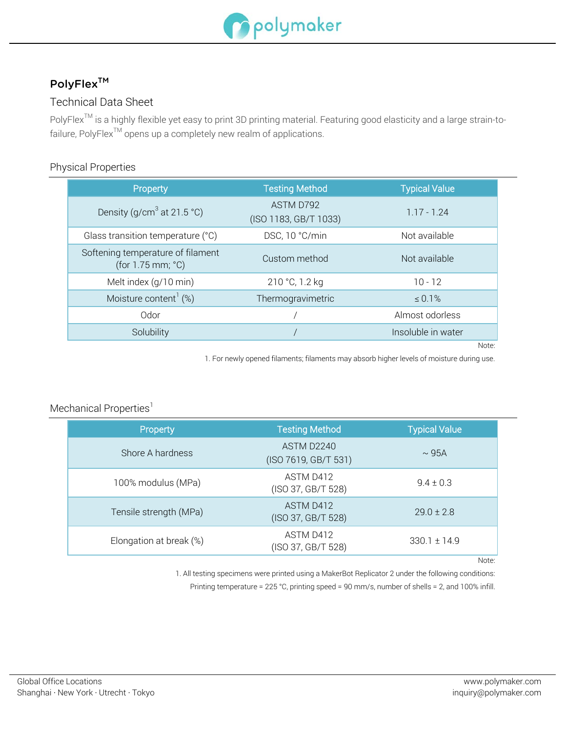

# PolyFlex<sup>™</sup>

## Technical Data Sheet

PolyFlex<sup>™</sup> is a highly flexible yet easy to print 3D printing material. Featuring good elasticity and a large strain-tofailure, PolyFlex<sup>TM</sup> opens up a completely new realm of applications.

### Physical Properties

| Property                                                    | <b>Testing Method</b>              | <b>Typical Value</b> |
|-------------------------------------------------------------|------------------------------------|----------------------|
| Density (g/cm <sup>3</sup> at 21.5 °C)                      | ASTM D792<br>(ISO 1183, GB/T 1033) | $1.17 - 1.24$        |
| Glass transition temperature (°C)                           | DSC, 10 °C/min                     | Not available        |
| Softening temperature of filament<br>(for $1.75$ mm; $°C$ ) | Custom method                      | Not available        |
| Melt index (g/10 min)                                       | 210 °C, 1.2 kg                     | $10 - 12$            |
| Moisture content <sup>1</sup> $(\%)$                        | Thermogravimetric                  | $\leq 0.1\%$         |
| Odor                                                        |                                    | Almost odorless      |
| Solubility                                                  |                                    | Insoluble in water   |
|                                                             |                                    | Note:                |

1. For newly opened filaments; filaments may absorb higher levels of moisture during use.

### Mechanical Properties<sup>1</sup>

| Property                | <b>Testing Method</b>              | <b>Typical Value</b> |
|-------------------------|------------------------------------|----------------------|
| Shore A hardness        | ASTM D2240<br>(ISO 7619, GB/T 531) | $\sim$ 95A           |
| 100% modulus (MPa)      | ASTM D412<br>(ISO 37, GB/T 528)    | $9.4 \pm 0.3$        |
| Tensile strength (MPa)  | ASTM D412<br>(ISO 37, GB/T 528)    | $29.0 \pm 2.8$       |
| Elongation at break (%) | ASTM D412<br>(ISO 37, GB/T 528)    | $330.1 \pm 14.9$     |

Note:

1. All testing specimens were printed using a MakerBot Replicator 2 under the following conditions:

Printing temperature = 225 °C, printing speed = 90 mm/s, number of shells = 2, and 100% infill.